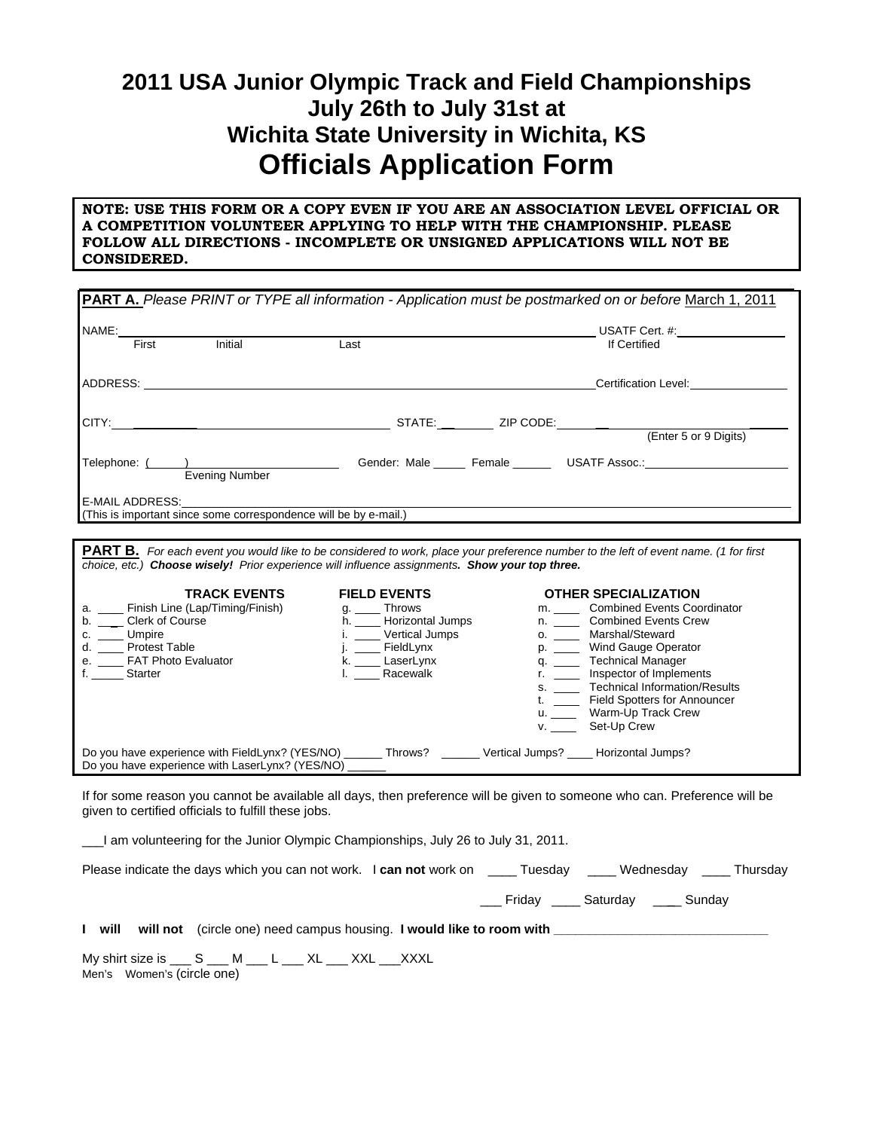## **2011 USA Junior Olympic Track and Field Championships July 26th to July 31st at Wichita State University in Wichita, KS Officials Application Form**

## **NOTE: USE THIS FORM OR A COPY EVEN IF YOU ARE AN ASSOCIATION LEVEL OFFICIAL OR A COMPETITION VOLUNTEER APPLYING TO HELP WITH THE CHAMPIONSHIP. PLEASE FOLLOW ALL DIRECTIONS - INCOMPLETE OR UNSIGNED APPLICATIONS WILL NOT BE CONSIDERED.**

| PART A. Please PRINT or TYPE all information - Application must be postmarked on or before March 1, 2011                                                                                                                                                                          |                                                                                                                                                      |                                                                                                                                                                                                                                                                                                                                                                                                                                                                                                                          |  |  |
|-----------------------------------------------------------------------------------------------------------------------------------------------------------------------------------------------------------------------------------------------------------------------------------|------------------------------------------------------------------------------------------------------------------------------------------------------|--------------------------------------------------------------------------------------------------------------------------------------------------------------------------------------------------------------------------------------------------------------------------------------------------------------------------------------------------------------------------------------------------------------------------------------------------------------------------------------------------------------------------|--|--|
| NAME:                                                                                                                                                                                                                                                                             |                                                                                                                                                      |                                                                                                                                                                                                                                                                                                                                                                                                                                                                                                                          |  |  |
| Initial<br>First                                                                                                                                                                                                                                                                  | Last                                                                                                                                                 | If Certified                                                                                                                                                                                                                                                                                                                                                                                                                                                                                                             |  |  |
|                                                                                                                                                                                                                                                                                   |                                                                                                                                                      |                                                                                                                                                                                                                                                                                                                                                                                                                                                                                                                          |  |  |
|                                                                                                                                                                                                                                                                                   |                                                                                                                                                      |                                                                                                                                                                                                                                                                                                                                                                                                                                                                                                                          |  |  |
|                                                                                                                                                                                                                                                                                   |                                                                                                                                                      |                                                                                                                                                                                                                                                                                                                                                                                                                                                                                                                          |  |  |
|                                                                                                                                                                                                                                                                                   |                                                                                                                                                      | Telephone: ( intervening Number  Telephone:  Center: Male  Male  Command Command Command Communication Communication Communication Communication Communication Communication Communication Communication Communication Communi                                                                                                                                                                                                                                                                                           |  |  |
| E-MAIL ADDRESS: The Mail of the Second State of the Second State of the Second St<br>(This is important since some correspondence will be by e-mail.)                                                                                                                             |                                                                                                                                                      |                                                                                                                                                                                                                                                                                                                                                                                                                                                                                                                          |  |  |
| choice, etc.) Choose wisely! Prior experience will influence assignments. Show your top three.<br><b>TRACK EVENTS</b><br>a. ____ Finish Line (Lap/Timing/Finish)<br>b. __ Clerk of Course<br>c. ____ Umpire<br>d. ____ Protest Table<br>e. ____ FAT Photo Evaluator<br>f. Starter | <b>FIELD EVENTS</b><br>g. _____ Throws<br>h. ____ Horizontal Jumps<br>i. _____ Vertical Jumps<br>j. ___ FieldLynx<br>k. ___ LaserLynx<br>I. Racewalk | <b>PART B.</b> For each event you would like to be considered to work, place your preference number to the left of event name. (1 for first<br><b>OTHER SPECIALIZATION</b><br>m. ______ Combined Events Coordinator<br>n. ______ Combined Events Crew<br>o. _____ Marshal/Steward<br>p. _____ Wind Gauge Operator<br>q. _____ Technical Manager<br>r. _____ Inspector of Implements<br>s. _____ Technical Information/Results<br>t. _____ Field Spotters for Announcer<br>u. ______ Warm-Up Track Crew<br>v. Set-Up Crew |  |  |
| Do you have experience with FieldLynx? (YES/NO) _____ Throws? _____ Vertical Jumps? ___ Horizontal Jumps?<br>Do you have experience with LaserLynx? (YES/NO) ____                                                                                                                 |                                                                                                                                                      |                                                                                                                                                                                                                                                                                                                                                                                                                                                                                                                          |  |  |
| If for some reason you cannot be available all days, then preference will be given to someone who can. Preference will be<br>given to certified officials to fulfill these jobs.                                                                                                  |                                                                                                                                                      |                                                                                                                                                                                                                                                                                                                                                                                                                                                                                                                          |  |  |
| I am volunteering for the Junior Olympic Championships, July 26 to July 31, 2011.                                                                                                                                                                                                 |                                                                                                                                                      |                                                                                                                                                                                                                                                                                                                                                                                                                                                                                                                          |  |  |
| Please indicate the days which you can not work. I can not work on _____ Tuesday _____ Wednesday _____ Thursday                                                                                                                                                                   |                                                                                                                                                      |                                                                                                                                                                                                                                                                                                                                                                                                                                                                                                                          |  |  |
|                                                                                                                                                                                                                                                                                   |                                                                                                                                                      | ___ Friday ____ Saturday ____ Sunday                                                                                                                                                                                                                                                                                                                                                                                                                                                                                     |  |  |

| will | will not (circle one) need campus housing. I would like to room with |  |
|------|----------------------------------------------------------------------|--|
|      |                                                                      |  |

My shirt size is \_\_\_ S \_\_\_ M \_\_\_ L \_\_\_ XL \_\_\_ XXL \_\_\_XXXL Men's Women's (circle one)